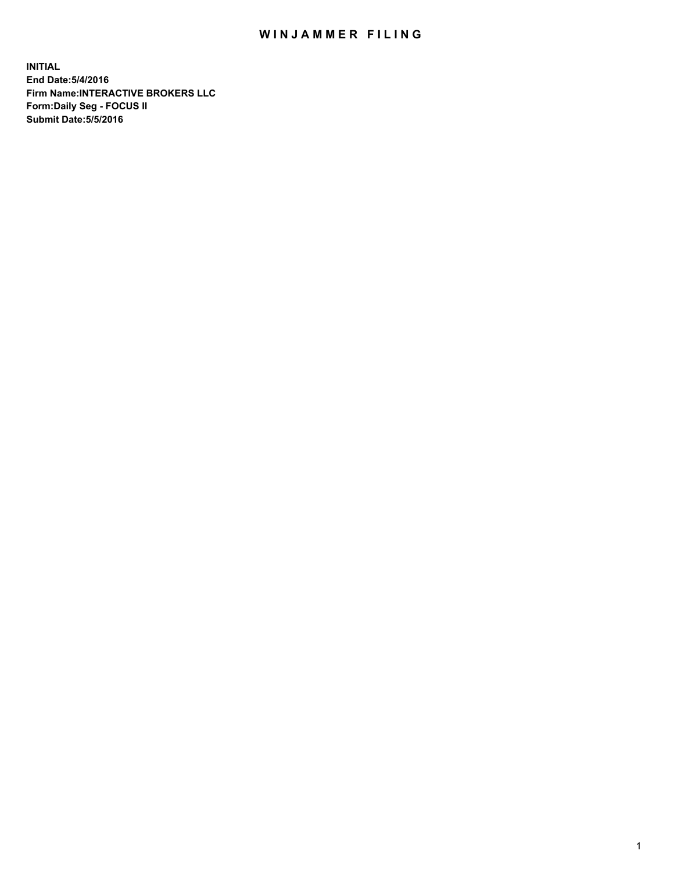## WIN JAMMER FILING

**INITIAL End Date:5/4/2016 Firm Name:INTERACTIVE BROKERS LLC Form:Daily Seg - FOCUS II Submit Date:5/5/2016**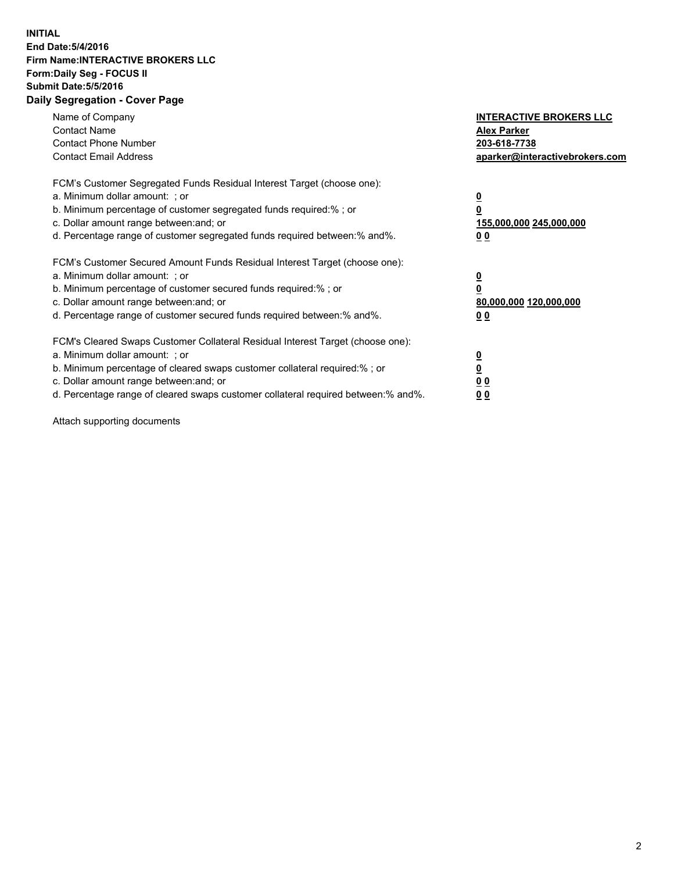## **INITIAL End Date:5/4/2016 Firm Name:INTERACTIVE BROKERS LLC Form:Daily Seg - FOCUS II Submit Date:5/5/2016 Daily Segregation - Cover Page**

| Name of Company<br><b>Contact Name</b><br><b>Contact Phone Number</b><br><b>Contact Email Address</b>                                                                                                                                                                                                                          | <b>INTERACTIVE BROKERS LLC</b><br><b>Alex Parker</b><br>203-618-7738<br>aparker@interactivebrokers.com |
|--------------------------------------------------------------------------------------------------------------------------------------------------------------------------------------------------------------------------------------------------------------------------------------------------------------------------------|--------------------------------------------------------------------------------------------------------|
| FCM's Customer Segregated Funds Residual Interest Target (choose one):<br>a. Minimum dollar amount: ; or<br>b. Minimum percentage of customer segregated funds required:%; or<br>c. Dollar amount range between: and; or<br>d. Percentage range of customer segregated funds required between:% and%.                          | <u>0</u><br>155,000,000 245,000,000<br><u>00</u>                                                       |
| FCM's Customer Secured Amount Funds Residual Interest Target (choose one):<br>a. Minimum dollar amount: ; or<br>b. Minimum percentage of customer secured funds required:%; or<br>c. Dollar amount range between: and; or<br>d. Percentage range of customer secured funds required between:% and%.                            | <u>0</u><br>80,000,000 120,000,000<br>0 <sub>0</sub>                                                   |
| FCM's Cleared Swaps Customer Collateral Residual Interest Target (choose one):<br>a. Minimum dollar amount: ; or<br>b. Minimum percentage of cleared swaps customer collateral required:% ; or<br>c. Dollar amount range between: and; or<br>d. Percentage range of cleared swaps customer collateral required between:% and%. | ₫<br>0 <sub>0</sub><br>0 <sub>0</sub>                                                                  |

Attach supporting documents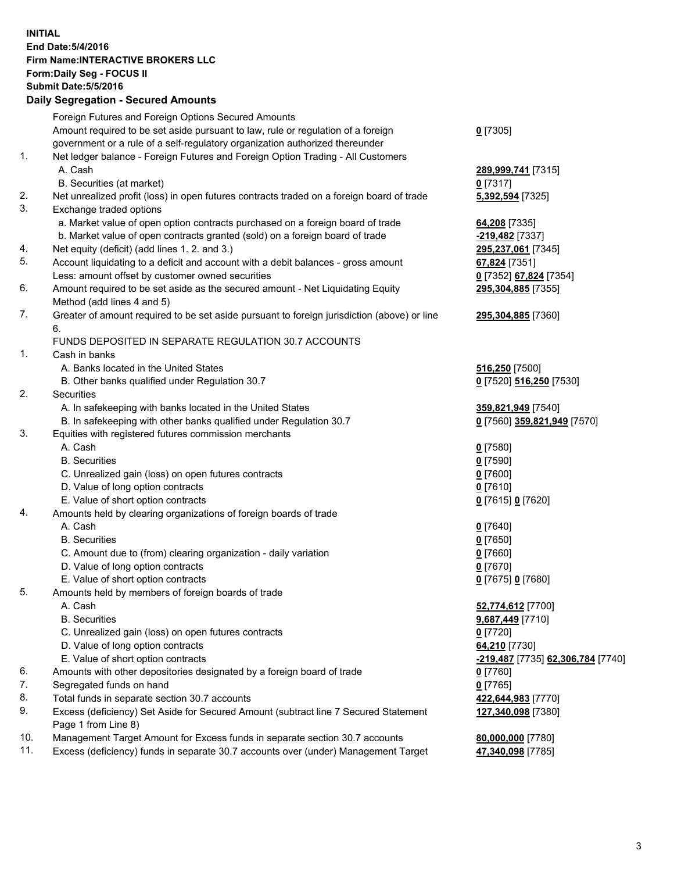## **INITIAL End Date:5/4/2016 Firm Name:INTERACTIVE BROKERS LLC Form:Daily Seg - FOCUS II Submit Date:5/5/2016 Daily Segregation - Secured Amounts**

|     | Foreign Futures and Foreign Options Secured Amounts                                         |                                   |
|-----|---------------------------------------------------------------------------------------------|-----------------------------------|
|     | Amount required to be set aside pursuant to law, rule or regulation of a foreign            | $0$ [7305]                        |
|     | government or a rule of a self-regulatory organization authorized thereunder                |                                   |
| 1.  | Net ledger balance - Foreign Futures and Foreign Option Trading - All Customers             |                                   |
|     | A. Cash                                                                                     | 289,999,741 [7315]                |
|     | B. Securities (at market)                                                                   | $0$ [7317]                        |
| 2.  | Net unrealized profit (loss) in open futures contracts traded on a foreign board of trade   | 5,392,594 [7325]                  |
| 3.  | Exchange traded options                                                                     |                                   |
|     | a. Market value of open option contracts purchased on a foreign board of trade              | 64,208 [7335]                     |
|     | b. Market value of open contracts granted (sold) on a foreign board of trade                | -219,482 <sup>[7337]</sup>        |
| 4.  | Net equity (deficit) (add lines 1.2. and 3.)                                                | 295,237,061 [7345]                |
| 5.  | Account liquidating to a deficit and account with a debit balances - gross amount           | 67,824 [7351]                     |
|     | Less: amount offset by customer owned securities                                            | 0 [7352] 67,824 [7354]            |
| 6.  | Amount required to be set aside as the secured amount - Net Liquidating Equity              | 295,304,885 [7355]                |
|     | Method (add lines 4 and 5)                                                                  |                                   |
| 7.  | Greater of amount required to be set aside pursuant to foreign jurisdiction (above) or line | 295,304,885 [7360]                |
|     | 6.                                                                                          |                                   |
|     | FUNDS DEPOSITED IN SEPARATE REGULATION 30.7 ACCOUNTS                                        |                                   |
| 1.  |                                                                                             |                                   |
|     | Cash in banks<br>A. Banks located in the United States                                      |                                   |
|     |                                                                                             | 516,250 [7500]                    |
| 2.  | B. Other banks qualified under Regulation 30.7                                              | 0 [7520] 516,250 [7530]           |
|     | Securities                                                                                  |                                   |
|     | A. In safekeeping with banks located in the United States                                   | 359,821,949 [7540]                |
|     | B. In safekeeping with other banks qualified under Regulation 30.7                          | 0 [7560] 359,821,949 [7570]       |
| 3.  | Equities with registered futures commission merchants                                       |                                   |
|     | A. Cash                                                                                     | $0$ [7580]                        |
|     | <b>B.</b> Securities                                                                        | $0$ [7590]                        |
|     | C. Unrealized gain (loss) on open futures contracts                                         | $0$ [7600]                        |
|     | D. Value of long option contracts                                                           | $0$ [7610]                        |
|     | E. Value of short option contracts                                                          | 0 [7615] 0 [7620]                 |
| 4.  | Amounts held by clearing organizations of foreign boards of trade                           |                                   |
|     | A. Cash                                                                                     | $0$ [7640]                        |
|     | <b>B.</b> Securities                                                                        | $0$ [7650]                        |
|     | C. Amount due to (from) clearing organization - daily variation                             | $0$ [7660]                        |
|     | D. Value of long option contracts                                                           | $0$ [7670]                        |
|     | E. Value of short option contracts                                                          | 0 [7675] 0 [7680]                 |
| 5.  | Amounts held by members of foreign boards of trade                                          |                                   |
|     | A. Cash                                                                                     | 52,774,612 [7700]                 |
|     | <b>B.</b> Securities                                                                        | 9,687,449 [7710]                  |
|     | C. Unrealized gain (loss) on open futures contracts                                         | $0$ [7720]                        |
|     | D. Value of long option contracts                                                           | 64,210 [7730]                     |
|     | E. Value of short option contracts                                                          | -219,487 [7735] 62,306,784 [7740] |
| 6.  | Amounts with other depositories designated by a foreign board of trade                      | $0$ [7760]                        |
| 7.  | Segregated funds on hand                                                                    | $0$ [7765]                        |
| 8.  | Total funds in separate section 30.7 accounts                                               | 422,644,983 [7770]                |
| 9.  | Excess (deficiency) Set Aside for Secured Amount (subtract line 7 Secured Statement         | 127,340,098 [7380]                |
|     | Page 1 from Line 8)                                                                         |                                   |
| 10. | Management Target Amount for Excess funds in separate section 30.7 accounts                 | 80,000,000 [7780]                 |
| 11. | Excess (deficiency) funds in separate 30.7 accounts over (under) Management Target          | 47,340,098 [7785]                 |
|     |                                                                                             |                                   |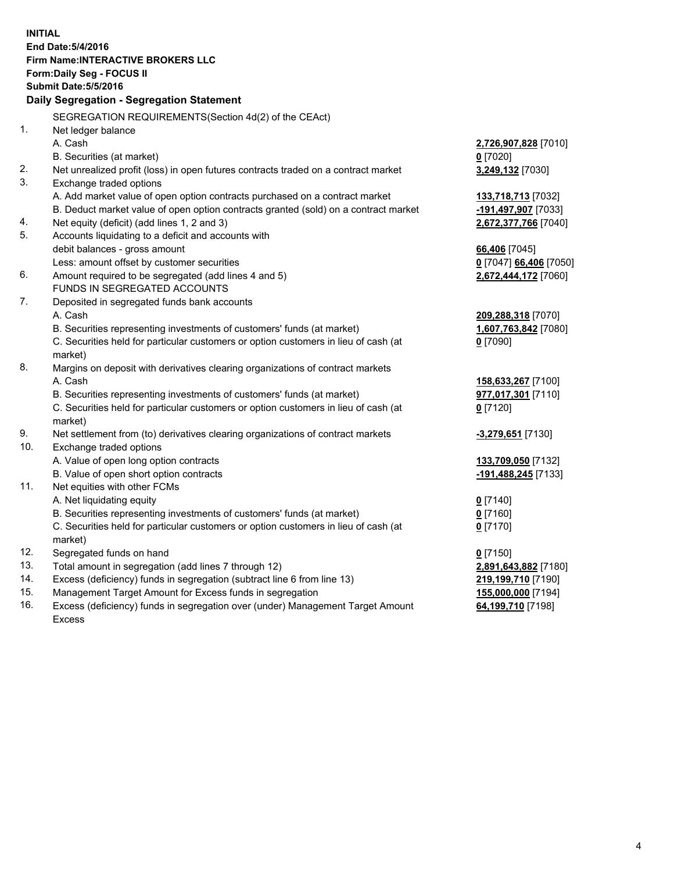**INITIAL End Date:5/4/2016 Firm Name:INTERACTIVE BROKERS LLC Form:Daily Seg - FOCUS II Submit Date:5/5/2016 Daily Segregation - Segregation Statement** SEGREGATION REQUIREMENTS(Section 4d(2) of the CEAct) 1. Net ledger balance A. Cash **2,726,907,828** [7010] B. Securities (at market) **0** [7020] 2. Net unrealized profit (loss) in open futures contracts traded on a contract market **3,249,132** [7030] 3. Exchange traded options A. Add market value of open option contracts purchased on a contract market **133,718,713** [7032] B. Deduct market value of open option contracts granted (sold) on a contract market **-191,497,907** [7033] 4. Net equity (deficit) (add lines 1, 2 and 3) **2,672,377,766** [7040] 5. Accounts liquidating to a deficit and accounts with debit balances - gross amount **66,406** [7045] Less: amount offset by customer securities **0** [7047] **66,406** [7050] 6. Amount required to be segregated (add lines 4 and 5) **2,672,444,172** [7060] FUNDS IN SEGREGATED ACCOUNTS 7. Deposited in segregated funds bank accounts A. Cash **209,288,318** [7070] B. Securities representing investments of customers' funds (at market) **1,607,763,842** [7080] C. Securities held for particular customers or option customers in lieu of cash (at market) **0** [7090] 8. Margins on deposit with derivatives clearing organizations of contract markets A. Cash **158,633,267** [7100] B. Securities representing investments of customers' funds (at market) **977,017,301** [7110] C. Securities held for particular customers or option customers in lieu of cash (at market) **0** [7120] 9. Net settlement from (to) derivatives clearing organizations of contract markets **-3,279,651** [7130] 10. Exchange traded options A. Value of open long option contracts **133,709,050** [7132] B. Value of open short option contracts **-191,488,245** [7133] 11. Net equities with other FCMs A. Net liquidating equity **0** [7140] B. Securities representing investments of customers' funds (at market) **0** [7160] C. Securities held for particular customers or option customers in lieu of cash (at market) **0** [7170] 12. Segregated funds on hand **0** [7150] 13. Total amount in segregation (add lines 7 through 12) **2,891,643,882** [7180] 14. Excess (deficiency) funds in segregation (subtract line 6 from line 13) **219,199,710** [7190] 15. Management Target Amount for Excess funds in segregation **155,000,000** [7194] 16. Excess (deficiency) funds in segregation over (under) Management Target Amount Excess **64,199,710** [7198]